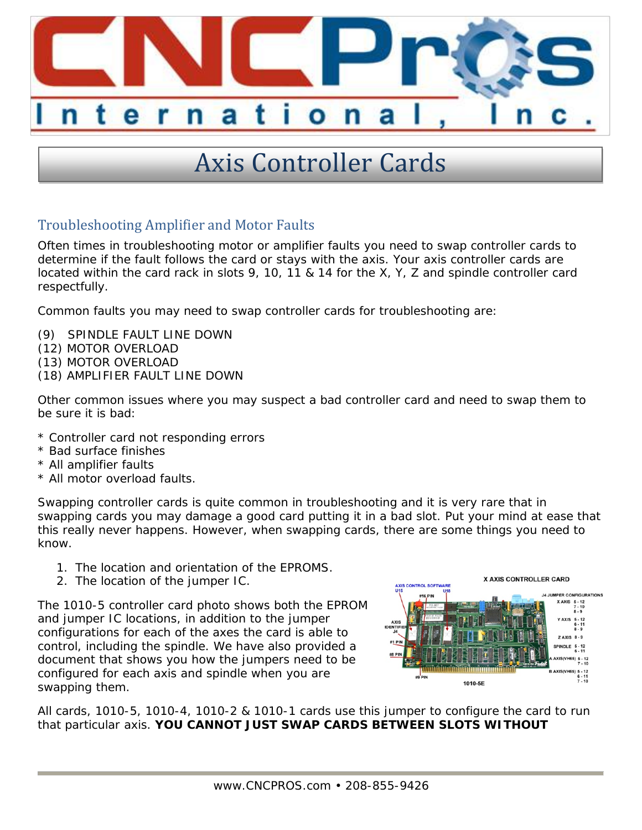

## Axis Controller Cards

## Troubleshooting Amplifier and Motor Faults

Often times in troubleshooting motor or amplifier faults you need to swap controller cards to determine if the fault follows the card or stays with the axis. Your axis controller cards are located within the card rack in slots 9, 10, 11 & 14 for the X, Y, Z and spindle controller card respectfully.

Common faults you may need to swap controller cards for troubleshooting are:

- (9) SPINDLE FAULT LINE DOWN
- (12) MOTOR OVERLOAD
- (13) MOTOR OVERLOAD
- (18) AMPLIFIER FAULT LINE DOWN

Other common issues where you may suspect a bad controller card and need to swap them to be sure it is bad:

- \* Controller card not responding errors
- \* Bad surface finishes
- \* All amplifier faults
- \* All motor overload faults.

Swapping controller cards is quite common in troubleshooting and it is very rare that in swapping cards you may damage a good card putting it in a bad slot. Put your mind at ease that this really never happens. However, when swapping cards, there are some things you need to know.

- 1. The location and orientation of the EPROMS.
- 2. The location of the jumper IC.

The 1010-5 controller card photo shows both the EPROM and jumper IC locations, in addition to the jumper configurations for each of the axes the card is able to control, including the spindle. We have also provided a document that shows you how the jumpers need to be configured for each axis and spindle when you are swapping them.



All cards, 1010-5, 1010-4, 1010-2 & 1010-1 cards use this jumper to configure the card to run that particular axis. **YOU CANNOT JUST SWAP CARDS BETWEEN SLOTS WITHOUT**